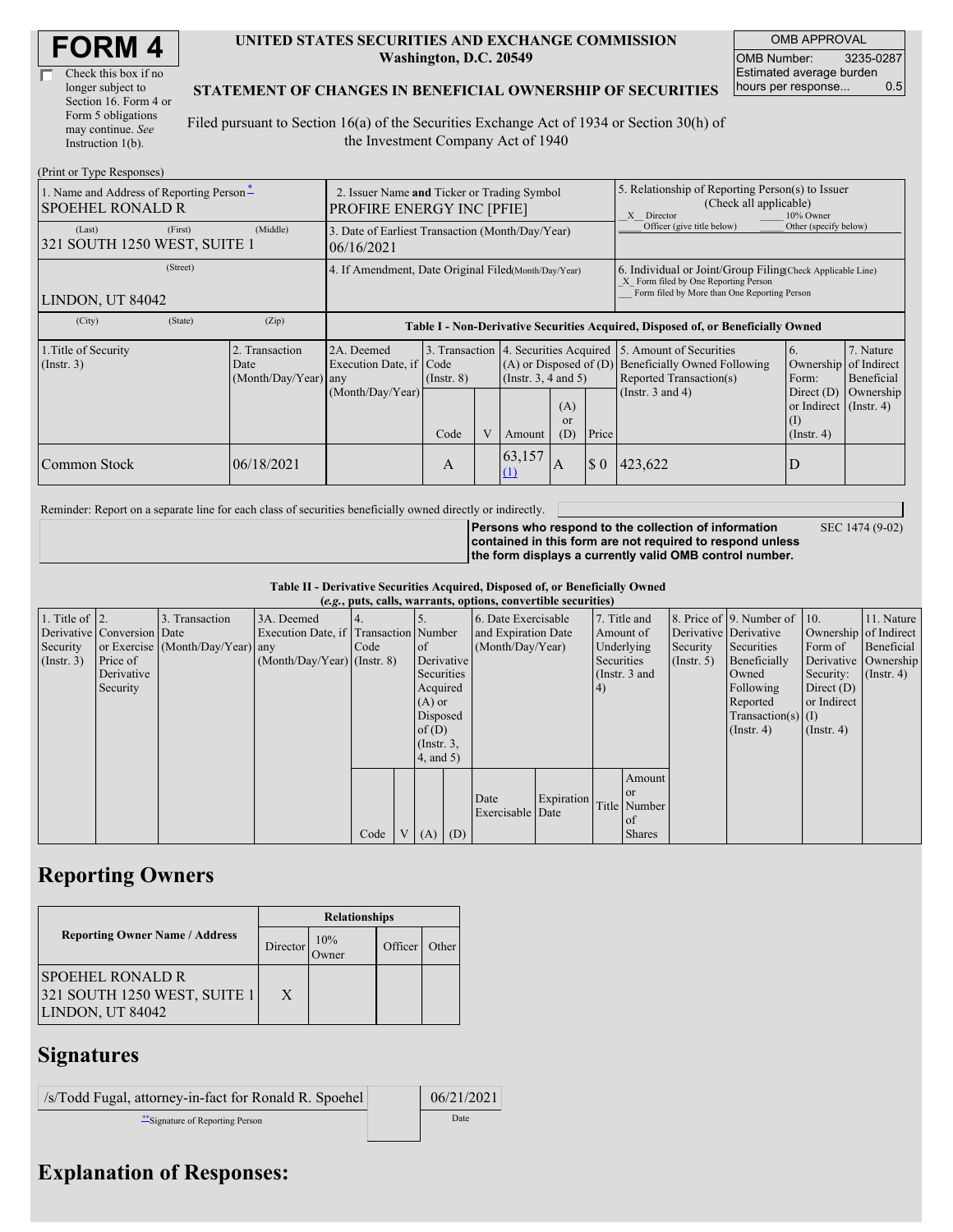| Check this box if no  |
|-----------------------|
| longer subject to     |
| Section 16. Form 4 or |
| Form 5 obligations    |
| may continue. See     |
| Instruction 1(b).     |

#### **UNITED STATES SECURITIES AND EXCHANGE COMMISSION Washington, D.C. 20549**

OMB APPROVAL OMB Number: 3235-0287 Estimated average burden hours per response... 0.5

### **STATEMENT OF CHANGES IN BENEFICIAL OWNERSHIP OF SECURITIES**

Filed pursuant to Section 16(a) of the Securities Exchange Act of 1934 or Section 30(h) of the Investment Company Act of 1940

| (Print or Type Responses)                                           |                                                                                 |                                                      |                                                                                  |                 |  |                                                                                                  |                                                                                                       |                                                                                                                                                    |                                                                                                   |                                                                            |                                                  |  |
|---------------------------------------------------------------------|---------------------------------------------------------------------------------|------------------------------------------------------|----------------------------------------------------------------------------------|-----------------|--|--------------------------------------------------------------------------------------------------|-------------------------------------------------------------------------------------------------------|----------------------------------------------------------------------------------------------------------------------------------------------------|---------------------------------------------------------------------------------------------------|----------------------------------------------------------------------------|--------------------------------------------------|--|
| 1. Name and Address of Reporting Person*<br><b>SPOEHEL RONALD R</b> | 2. Issuer Name and Ticker or Trading Symbol<br><b>PROFIRE ENERGY INC [PFIE]</b> |                                                      |                                                                                  |                 |  |                                                                                                  | 5. Relationship of Reporting Person(s) to Issuer<br>(Check all applicable)<br>X Director<br>10% Owner |                                                                                                                                                    |                                                                                                   |                                                                            |                                                  |  |
| (Last)<br>321 SOUTH 1250 WEST, SUITE 1                              | (First)                                                                         | (Middle)                                             | 3. Date of Earliest Transaction (Month/Day/Year)<br>06/16/2021                   |                 |  |                                                                                                  |                                                                                                       |                                                                                                                                                    | Officer (give title below)                                                                        | Other (specify below)                                                      |                                                  |  |
| (Street)<br>LINDON, UT 84042                                        |                                                                                 | 4. If Amendment, Date Original Filed(Month/Day/Year) |                                                                                  |                 |  |                                                                                                  |                                                                                                       | 6. Individual or Joint/Group Filing Check Applicable Line)<br>X Form filed by One Reporting Person<br>Form filed by More than One Reporting Person |                                                                                                   |                                                                            |                                                  |  |
| (City)                                                              | (State)                                                                         | (Zip)                                                | Table I - Non-Derivative Securities Acquired, Disposed of, or Beneficially Owned |                 |  |                                                                                                  |                                                                                                       |                                                                                                                                                    |                                                                                                   |                                                                            |                                                  |  |
| 1. Title of Security<br>(Insert. 3)                                 |                                                                                 | 2. Transaction<br>Date<br>(Month/Day/Year) any       | 2A. Deemed<br>Execution Date, if Code                                            | $($ Instr. $8)$ |  | 3. Transaction 4. Securities Acquired<br>$(A)$ or Disposed of $(D)$<br>$($ Instr. 3, 4 and 5 $)$ |                                                                                                       |                                                                                                                                                    | 5. Amount of Securities<br>6.<br>Beneficially Owned Following<br>Reported Transaction(s)<br>Form: |                                                                            | 7. Nature<br>Ownership of Indirect<br>Beneficial |  |
|                                                                     |                                                                                 |                                                      | (Month/Day/Year)                                                                 | Code            |  | Amount                                                                                           | (A)<br>or<br>(D)                                                                                      | Price                                                                                                                                              | (Instr. $3$ and $4$ )                                                                             | Direct $(D)$<br>or Indirect $($ Instr. 4 $)$<br>$($ I)<br>$($ Instr. 4 $)$ | Ownership                                        |  |
| Common Stock                                                        |                                                                                 | 06/18/2021                                           |                                                                                  | А               |  | 63,157<br>(1)                                                                                    | A                                                                                                     | $\boldsymbol{\mathsf{S}}$ 0                                                                                                                        | 423,622                                                                                           | D                                                                          |                                                  |  |

Reminder: Report on a separate line for each class of securities beneficially owned directly or indirectly.

SEC 1474 (9-02)

**Persons who respond to the collection of information contained in this form are not required to respond unless the form displays a currently valid OMB control number.**

**Table II - Derivative Securities Acquired, Disposed of, or Beneficially Owned**

| (e.g., puts, calls, warrants, options, convertible securities) |                            |                                  |                                       |      |  |                 |     |                     |            |            |               |               |                              |                       |                      |
|----------------------------------------------------------------|----------------------------|----------------------------------|---------------------------------------|------|--|-----------------|-----|---------------------|------------|------------|---------------|---------------|------------------------------|-----------------------|----------------------|
| 1. Title of $\vert$ 2.                                         |                            | 3. Transaction                   | 3A. Deemed                            |      |  |                 |     | 6. Date Exercisable |            |            | 7. Title and  |               | 8. Price of 9. Number of 10. |                       | 11. Nature           |
|                                                                | Derivative Conversion Date |                                  | Execution Date, if Transaction Number |      |  |                 |     | and Expiration Date |            | Amount of  |               |               | Derivative Derivative        | Ownership of Indirect |                      |
| Security                                                       |                            | or Exercise (Month/Day/Year) any |                                       | Code |  | of              |     | (Month/Day/Year)    |            |            | Underlying    | Security      | Securities                   | Form of               | Beneficial           |
| $($ Instr. 3 $)$                                               | Price of                   |                                  | $(Month/Day/Year)$ (Instr. 8)         |      |  | Derivative      |     |                     |            | Securities |               | $($ Instr. 5) | Beneficially                 |                       | Derivative Ownership |
|                                                                | Derivative                 |                                  |                                       |      |  | Securities      |     |                     |            |            | (Instr. 3 and |               | Owned                        | Security:             | $($ Instr. 4)        |
|                                                                | Security                   |                                  |                                       |      |  | Acquired        |     |                     |            | (4)        |               |               | Following                    | Direct $(D)$          |                      |
|                                                                |                            |                                  |                                       |      |  | $(A)$ or        |     |                     |            |            |               |               | Reported                     | or Indirect           |                      |
|                                                                |                            |                                  |                                       |      |  | Disposed        |     |                     |            |            |               |               | $Transaction(s)$ (I)         |                       |                      |
|                                                                |                            |                                  |                                       |      |  | of(D)           |     |                     |            |            |               |               | $($ Instr. 4)                | $($ Instr. 4 $)$      |                      |
|                                                                |                            |                                  |                                       |      |  | $($ Instr. $3,$ |     |                     |            |            |               |               |                              |                       |                      |
|                                                                |                            |                                  |                                       |      |  | $4$ , and $5$ ) |     |                     |            |            |               |               |                              |                       |                      |
|                                                                |                            |                                  |                                       |      |  |                 |     |                     |            |            | Amount        |               |                              |                       |                      |
|                                                                |                            |                                  |                                       |      |  |                 |     | Date                | Expiration |            | <sub>or</sub> |               |                              |                       |                      |
|                                                                |                            |                                  |                                       |      |  |                 |     | Exercisable Date    |            |            | Title Number  |               |                              |                       |                      |
|                                                                |                            |                                  |                                       |      |  |                 |     |                     |            |            | of            |               |                              |                       |                      |
|                                                                |                            |                                  |                                       | Code |  | V(A)            | (D) |                     |            |            | <b>Shares</b> |               |                              |                       |                      |

# **Reporting Owners**

|                                                                             | <b>Relationships</b> |                      |         |       |  |  |  |
|-----------------------------------------------------------------------------|----------------------|----------------------|---------|-------|--|--|--|
| <b>Reporting Owner Name / Address</b>                                       | Director             | 10%<br><b>J</b> wner | Officer | Other |  |  |  |
| <b>SPOEHEL RONALD R</b><br>321 SOUTH 1250 WEST, SUITE 1<br>LINDON, UT 84042 | X                    |                      |         |       |  |  |  |

## **Signatures**

| /s/Todd Fugal, attorney-in-fact for Ronald R. Spoehel | 06/21/2021 |
|-------------------------------------------------------|------------|
| Signature of Reporting Person                         | Date       |

## **Explanation of Responses:**